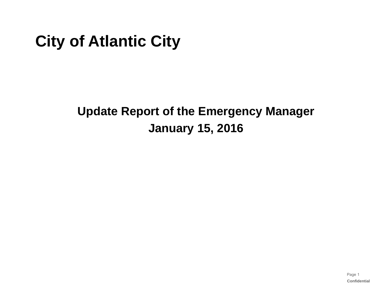# **City of Atlantic City**

## **Update Report of the Emergency Manager January 15, 2016**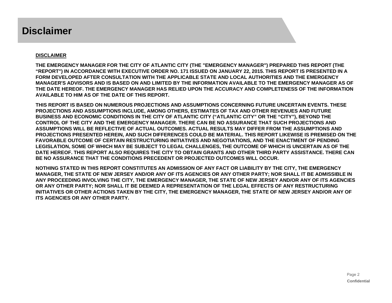### **Disclaimer**

#### **DISCLAIMER**

**THE EMERGENCY MANAGER FOR THE CITY OF ATLANTIC CITY (THE "EMERGENCY MANAGER") PREPARED THIS REPORT (THE "REPORT") IN ACCORDANCE WITH EXECUTIVE ORDER NO. 171 ISSUED ON JANUARY 22, 2015. THIS REPORT IS PRESENTED IN A FORM DEVELOPED AFTER CONSULTATION WITH THE APPLICABLE STATE AND LOCAL AUTHORITIES AND THE EMERGENCY MANAGER'S ADVISORS AND IS BASED ON AND LIMITED BY THE INFORMATION AVAILABLE TO THE EMERGENCY MANAGER AS OF THE DATE HEREOF. THE EMERGENCY MANAGER HAS RELIED UPON THE ACCURACY AND COMPLETENESS OF THE INFORMATION AVAILABLE TO HIM AS OF THE DATE OF THIS REPORT.**

**THIS REPORT IS BASED ON NUMEROUS PROJECTIONS AND ASSUMPTIONS CONCERNING FUTURE UNCERTAIN EVENTS. THESE PROJECTIONS AND ASSUMPTIONS INCLUDE, AMONG OTHERS, ESTIMATES OF TAX AND OTHER REVENUES AND FUTURE BUSINESS AND ECONOMIC CONDITIONS IN THE CITY OF ATLANTIC CITY ("ATLANTIC CITY" OR THE "CITY"), BEYOND THE CONTROL OF THE CITY AND THE EMERGENCY MANAGER. THERE CAN BE NO ASSURANCE THAT SUCH PROJECTIONS AND ASSUMPTIONS WILL BE REFLECTIVE OF ACTUAL OUTCOMES. ACTUAL RESULTS MAY DIFFER FROM THE ASSUMPTIONS AND PROJECTIONS PRESENTED HEREIN, AND SUCH DIFFERENCES COULD BE MATERIAL. THIS REPORT LIKEWISE IS PREMISED ON THE FAVORABLE OUTCOME OF CERTAIN RESTRUCTURING INITIATIVES AND NEGOTIATIONS, AND THE ENACTMENT OF PENDING LEGISLATION, SOME OF WHICH MAY BE SUBJECT TO LEGAL CHALLENGES, THE OUTCOME OF WHICH IS UNCERTAIN AS OF THE DATE HEREOF. THIS REPORT ALSO REQUIRES THE CITY TO OBTAIN GRANTS AND OTHER THIRD PARTY ASSISTANCE. THERE CAN BE NO ASSURANCE THAT THE CONDITIONS PRECEDENT OR PROJECTED OUTCOMES WILL OCCUR.**

**NOTHING STATED IN THIS REPORT CONSTITUTES AN ADMISSION OF ANY FACT OR LIABILITY BY THE CITY, THE EMERGENCY MANAGER, THE STATE OF NEW JERSEY AND/OR ANY OF ITS AGENCIES OR ANY OTHER PARTY; NOR SHALL IT BE ADMISSIBLE IN ANY PROCEEDING INVOLVING THE CITY, THE EMERGENCY MANAGER, THE STATE OF NEW JERSEY AND/OR ANY OF ITS AGENCIES OR ANY OTHER PARTY; NOR SHALL IT BE DEEMED A REPRESENTATION OF THE LEGAL EFFECTS OF ANY RESTRUCTURING INITIATIVES OR OTHER ACTIONS TAKEN BY THE CITY, THE EMERGENCY MANAGER, THE STATE OF NEW JERSEY AND/OR ANY OF ITS AGENCIES OR ANY OTHER PARTY.**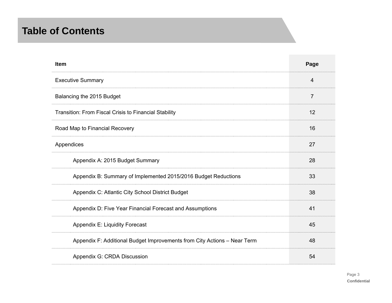### **Table of Contents**

| <b>Item</b>                                                              | Page |
|--------------------------------------------------------------------------|------|
| <b>Executive Summary</b>                                                 | 4    |
| Balancing the 2015 Budget                                                | 7    |
| Transition: From Fiscal Crisis to Financial Stability                    | 12   |
| Road Map to Financial Recovery                                           | 16   |
| Appendices                                                               | 27   |
| Appendix A: 2015 Budget Summary                                          | 28   |
| Appendix B: Summary of Implemented 2015/2016 Budget Reductions           | 33   |
| Appendix C: Atlantic City School District Budget                         | 38   |
| Appendix D: Five Year Financial Forecast and Assumptions                 | 41   |
| Appendix E: Liquidity Forecast                                           | 45   |
| Appendix F: Additional Budget Improvements from City Actions - Near Term | 48   |
| Appendix G: CRDA Discussion                                              | 54   |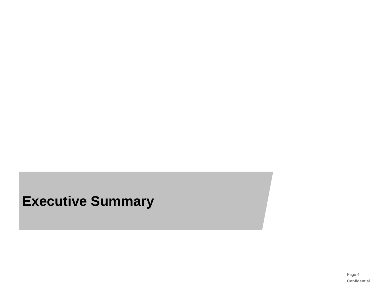# **Executive Summary**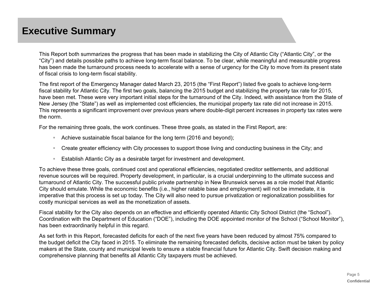### **Executive Summary**

This Report both summarizes the progress that has been made in stabilizing the City of Atlantic City ("Atlantic City", or the "City") and details possible paths to achieve long-term fiscal balance. To be clear, while meaningful and measurable progress has been made the turnaround process needs to accelerate with a sense of urgency for the City to move from its present state of fiscal crisis to long-term fiscal stability.

The first report of the Emergency Manager dated March 23, 2015 (the "First Report") listed five goals to achieve long-term fiscal stability for Atlantic City. The first two goals, balancing the 2015 budget and stabilizing the property tax rate for 2015, have been met. These were very important initial steps for the turnaround of the City. Indeed, with assistance from the State of New Jersey (the "State") as well as implemented cost efficiencies, the municipal property tax rate did not increase in 2015. This represents a significant improvement over previous years where double-digit percent increases in property tax rates were the norm.

For the remaining three goals, the work continues. These three goals, as stated in the First Report, are:

- Achieve sustainable fiscal balance for the long term (2016 and beyond);
- $\mathbb{R}^n$  . Create greater efficiency with City processes to support those living and conducting business in the City; and
- Establish Atlantic City as a desirable target for investment and development.

To achieve these three goals, continued cost and operational efficiencies, negotiated creditor settlements, and additional revenue sources will be required. Property development, in particular, is a crucial underpinning to the ultimate success and turnaround of Atlantic City. The successful public private partnership in New Brunswick serves as a role model that Atlantic City should emulate. While the economic benefits (i.e., higher ratable base and employment) will not be immediate, it is imperative that this process is set up today. The City will also need to pursue privatization or regionalization possibilities for costly municipal services as well as the monetization of assets.

Fiscal stability for the City also depends on an effective and efficiently operated Atlantic City School District (the "School"). Coordination with the Department of Education ("DOE"), including the DOE appointed monitor of the School ("School Monitor"), has been extraordinarily helpful in this regard.

As set forth in this Report, forecasted deficits for each of the next five years have been reduced by almost 75% compared to the budget deficit the City faced in 2015. To eliminate the remaining forecasted deficits, decisive action must be taken by policy makers at the State, county and municipal levels to ensure a stable financial future for Atlantic City. Swift decision making and comprehensive planning that benefits all Atlantic City taxpayers must be achieved.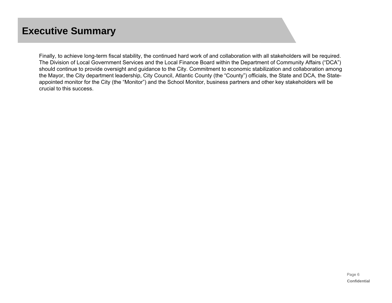## **Executive Summary**

Finally, to achieve long-term fiscal stability, the continued hard work of and collaboration with all stakeholders will be required. The Division of Local Government Services and the Local Finance Board within the Department of Community Affairs ("DCA") should continue to provide oversight and guidance to the City. Commitment to economic stabilization and collaboration among the Mayor, the City department leadership, City Council, Atlantic County (the "County") officials, the State and DCA, the Stateappointed monitor for the City (the "Monitor") and the School Monitor, business partners and other key stakeholders will be crucial to this success.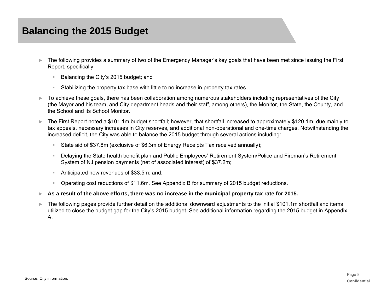- ► The following provides a summary of two of the Emergency Manager's key goals that have been met since issuing the First Report, specifically:
	- $\pm$ Balancing the City's 2015 budget; and
	- Stabilizing the property tax base with little to no increase in property tax rates.
- ► To achieve these goals, there has been collaboration among numerous stakeholders including representatives of the City (the Mayor and his team, and City department heads and their staff, among others), the Monitor, the State, the County, and the School and its School Monitor.
- ► The First Report noted a \$101.1m budget shortfall; however, that shortfall increased to approximately \$120.1m, due mainly to tax appeals, necessary increases in City reserves, and additional non-operational and one-time charges. Notwithstanding the increased deficit, the City was able to balance the 2015 budget through several actions including:
	- $\mathbb{R}^+$ State aid of \$37.8m (exclusive of \$6.3m of Energy Receipts Tax received annually);
	- $\mathbb{R}^+$  Delaying the State health benefit plan and Public Employees' Retirement System/Police and Fireman's Retirement System of NJ pension payments (net of associated interest) of \$37.2m;
	- Anticipated new revenues of \$33.5m; and,
	- Operating cost reductions of \$11.6m. See Appendix B for summary of 2015 budget reductions.
- ►**As a result of the above efforts, there was no increase in the municipal property tax rate for 2015.**
- ► The following pages provide further detail on the additional downward adjustments to the initial \$101.1m shortfall and items utilized to close the budget gap for the City's 2015 budget. See additional information regarding the 2015 budget in Appendix A.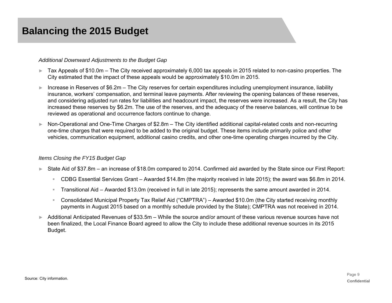#### *Additional Downward Adjustments to the Budget Gap*

- ► Tax Appeals of \$10.0m The City received approximately 6,000 tax appeals in 2015 related to non-casino properties. The City estimated that the impact of these appeals would be approximately \$10.0m in 2015.
- ► Increase in Reserves of \$6.2m The City reserves for certain expenditures including unemployment insurance, liability insurance, workers' compensation, and terminal leave payments. After reviewing the opening balances of these reserves, and considering adjusted run rates for liabilities and headcount impact, the reserves were increased. As a result, the City has increased these reserves by \$6.2m. The use of the reserves, and the adequacy of the reserve balances, will continue to be reviewed as operational and occurrence factors continue to change.
- ► Non-Operational and One-Time Charges of \$2.8m – The City identified additional capital-related costs and non-recurring one-time charges that were required to be added to the original budget. These items include primarily police and other vehicles, communication equipment, additional casino credits, and other one-time operating charges incurred by the City.

#### *Items Closing the FY15 Budget Gap*

- ► State Aid of \$37.8m an increase of \$18.0m compared to 2014. Confirmed aid awarded by the State since our First Report:
	- $\mathbb{R}^{n\times n}$ CDBG Essential Services Grant – Awarded \$14.8m (the majority received in late 2015); the award was \$6.8m in 2014.
	- $\mathbb{R}^{n-1}$ Transitional Aid – Awarded \$13.0m (received in full in late 2015); represents the same amount awarded in 2014.
	- $\mathbb{R}^{n\times n}$  Consolidated Municipal Property Tax Relief Aid ("CMPTRA") – Awarded \$10.0m (the City started receiving monthly payments in August 2015 based on a monthly schedule provided by the State); CMPTRA was not received in 2014.
- ► Additional Anticipated Revenues of \$33.5m While the source and/or amount of these various revenue sources have not been finalized, the Local Finance Board agreed to allow the City to include these additional revenue sources in its 2015 Budget.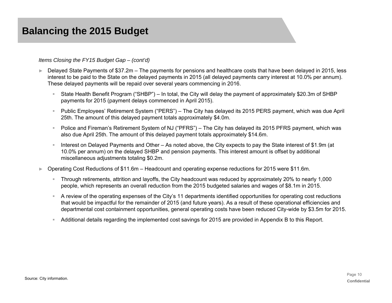#### *Items Closing the FY15 Budget Gap – (cont'd)*

- ► Delayed State Payments of \$37.2m The payments for pensions and healthcare costs that have been delayed in 2015, less interest to be paid to the State on the delayed payments in 2015 (all delayed payments carry interest at 10.0% per annum). These delayed payments will be repaid over several years commencing in 2016.
	- State Health Benefit Program ("SHBP") In total, the City will delay the payment of approximately \$20.3m of SHBP payments for 2015 (payment delays commenced in April 2015).
	- ₩ Public Employees' Retirement System ("PERS") – The City has delayed its 2015 PERS payment, which was due April 25th. The amount of this delayed payment totals approximately \$4.0m.
	- $\mathbb{R}^{n-1}$  Police and Fireman's Retirement System of NJ ("PFRS") – The City has delayed its 2015 PFRS payment, which was also due April 25th. The amount of this delayed payment totals approximately \$14.6m.
	- Interest on Delayed Payments and Other As noted above, the City expects to pay the State interest of \$1.9m (at 10.0% per annum) on the delayed SHBP and pension payments. This interest amount is offset by additional miscellaneous adjustments totaling \$0.2m.
- ► Operating Cost Reductions of \$11.6m – Headcount and operating expense reductions for 2015 were \$11.6m.
	- $\mathbb{R}^{n\times n}$  Through retirements, attrition and layoffs, the City headcount was reduced by approximately 20% to nearly 1,000 people, which represents an overall reduction from the 2015 budgeted salaries and wages of \$8.1m in 2015.
	- $\mathcal{L}_{\rm{max}}$  A review of the operating expenses of the City's 11 departments identified opportunities for operating cost reductions that would be impactful for the remainder of 2015 (and future years). As a result of these operational efficiencies and departmental cost containment opportunities, general operating costs have been reduced City-wide by \$3.5m for 2015.
	- Additional details regarding the implemented cost savings for 2015 are provided in Appendix B to this Report.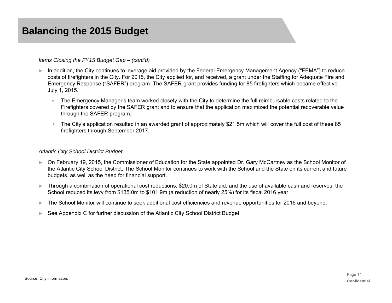#### *Items Closing the FY15 Budget Gap – (cont'd)*

- ► In addition, the City continues to leverage aid provided by the Federal Emergency Management Agency ("FEMA") to reduce costs of firefighters in the City. For 2015, the City applied for, and received, a grant under the Staffing for Adequate Fire and Emergency Response ("SAFER") program. The SAFER grant provides funding for 85 firefighters which became effective July 1, 2015.
	- The Emergency Manager's team worked closely with the City to determine the full reimbursable costs related to the Firefighters covered by the SAFER grant and to ensure that the application maximized the potential recoverable value through the SAFER program.
	- $\mathbb{R}^{n\times n}$  The City's application resulted in an awarded grant of approximately \$21.5m which will cover the full cost of these 85 firefighters through September 2017.

#### *Atlantic City School District Budget*

- ► On February 19, 2015, the Commissioner of Education for the State appointed Dr. Gary McCartney as the School Monitor of the Atlantic City School District. The School Monitor continues to work with the School and the State on its current and future budgets, as well as the need for financial support.
- ► Through a combination of operational cost reductions, \$20.0m of State aid, and the use of available cash and reserves, the School reduced its levy from \$135.0m to \$101.9m (a reduction of nearly 25%) for its fiscal 2016 year.
- ►The School Monitor will continue to seek additional cost efficiencies and revenue opportunities for 2016 and beyond.
- ►See Appendix C for further discussion of the Atlantic City School District Budget.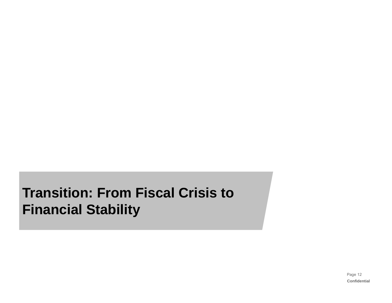# **Transition: From Fiscal Crisis to Financial Stability**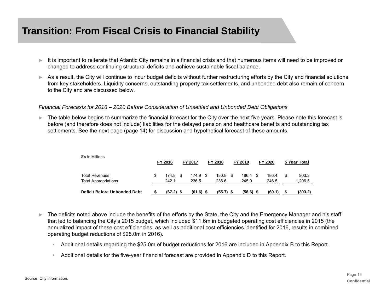## **Transition: From Fiscal Crisis to Financial Stability**

- ► It is important to reiterate that Atlantic City remains in a financial crisis and that numerous items will need to be improved or changed to address continuing structural deficits and achieve sustainable fiscal balance.
- ► As a result, the City will continue to incur budget deficits without further restructuring efforts by the City and financial solutions from key stakeholders. Liquidity concerns, outstanding property tax settlements, and unbonded debt also remain of concern to the City and are discussed below.

#### *Financial Forecasts for 2016 – 2020 Before Consideration of Unsettled and Unbonded Debt Obligations*

► The table below begins to summarize the financial forecast for the City over the next five years. Please note this forecast is before (and therefore does not include) liabilities for the delayed pension and healthcare benefits and outstanding tax settlements. See the next page (page 14) for discussion and hypothetical forecast of these amounts.

| <b>Deficit Before Unbonded Debt</b> |    | $(67.2)$ \$ |                | $(61.6)$ \$ |         | $(55.7)$ \$ | $(58.6)$ \$ | (60.1)  |              | (303.2) |  |  |
|-------------------------------------|----|-------------|----------------|-------------|---------|-------------|-------------|---------|--------------|---------|--|--|
| <b>Total Appropriations</b>         |    | 242.1       |                | 236.5       |         | 236.6       | 245.0       | 246.5   |              | 1,206.5 |  |  |
| <b>Total Revenues</b>               | \$ | 174.8       | - \$           | 174.9       | - \$    | 180.8       | 186.4       | 186.4   | \$           | 903.3   |  |  |
| \$'s in Millions                    |    | FY 2016     | <b>FY 2017</b> |             | FY 2018 |             | FY 2019     | FY 2020 | 5 Year Total |         |  |  |

- ► The deficits noted above include the benefits of the efforts by the State, the City and the Emergency Manager and his staff that led to balancing the City's 2015 budget, which included \$11.6m in budgeted operating cost efficiencies in 2015 (the annualized impact of these cost efficiencies, as well as additional cost efficiencies identified for 2016, results in combined operating budget reductions of \$25.0m in 2016).
	- ₩ Additional details regarding the \$25.0m of budget reductions for 2016 are included in Appendix B to this Report.
	- Additional details for the five-year financial forecast are provided in Appendix D to this Report.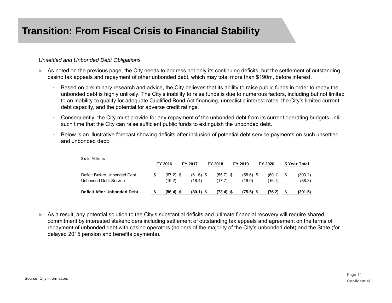#### *Unsettled and Unbonded Debt Obligations*

 $\ddot{x}$  in  $\ddot{x}$  in Millions

- ► As noted on the previous page, the City needs to address not only its continuing deficits, but the settlement of outstanding casino tax appeals and repayment of other unbonded debt, which may total more than \$190m, before interest.
	- Based on preliminary research and advice, the City believes that its ability to raise public funds in order to repay the unbonded debt is highly unlikely. The City's inability to raise funds is due to numerous factors, including but not limited to an inability to qualify for adequate Qualified Bond Act financing, unrealistic interest rates, the City's limited current debt capacity, and the potential for adverse credit ratings.
	- $\mathbb{R}^{n\times n}$  Consequently, the City must provide for any repayment of the unbonded debt from its current operating budgets until such time that the City can raise sufficient public funds to extinguish the unbonded debt.
	- $\mathbb{R}^n$  Below is an illustrative forecast showing deficits after inclusion of potential debt service payments on such unsettled and unbonded debt:

| <b>Deficit After Unbonded Debt</b>                    |         | $(86.4)$ \$           | $(80.1)$ \$           | $(73.4)$ \$           |         | (75.5)                | (76.2)           |              | (391.5)           |  |
|-------------------------------------------------------|---------|-----------------------|-----------------------|-----------------------|---------|-----------------------|------------------|--------------|-------------------|--|
| Deficit Before Unbonded Debt<br>Unbonded Debt Service |         | $(67.2)$ \$<br>(19.2) | $(61.6)$ \$<br>(18.4) | $(55.7)$ \$<br>(17.7) |         | $(58.6)$ \$<br>(16.9) | (60.1)<br>(16.1) |              | (303.2)<br>(88.3) |  |
| \$'s in Millions                                      | FY 2016 |                       | FY 2017               | FY 2018               | FY 2019 |                       | FY 2020          | 5 Year Total |                   |  |

► As a result, any potential solution to the City's substantial deficits and ultimate financial recovery will require shared commitment by interested stakeholders including settlement of outstanding tax appeals and agreement on the terms of repayment of unbonded debt with casino operators (holders of the majority of the City's unbonded debt) and the State (for delayed 2015 pension and benefits payments).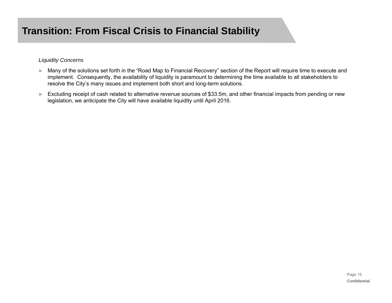#### *Liquidity Concerns*

- ► Many of the solutions set forth in the "Road Map to Financial Recovery" section of the Report will require time to execute and implement. Consequently, the availability of liquidity is paramount to determining the time available to all stakeholders to resolve the City's many issues and implement both short and long-term solutions.
- ► Excluding receipt of cash related to alternative revenue sources of \$33.5m, and other financial impacts from pending or new legislation, we anticipate the City will have available liquidity until April 2016.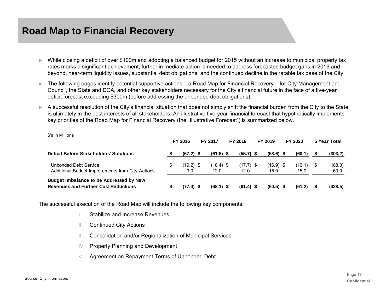- ► While closing a deficit of over \$100m and adopting a balanced budget for 2015 without an increase to municipal property tax rates marks a significant achievement, further immediate action is needed to address forecasted budget gaps in 2016 and beyond, near-term liquidity issues, substantial debt obligations, and the continued decline in the ratable tax base of the City.
- ► The following pages identify potential supportive actions – a Road Map for Financial Recovery – for City Management and Council, the State and DCA, and other key stakeholders necessary for the City's financial future in the face of a five-year deficit forecast exceeding \$300m (before addressing the unbonded debt obligations).
- ► A successful resolution of the City's financial situation that does not simply shift the financial burden from the City to the State is ultimately in the best interests of all stakeholders. An illustrative five-year financial forecast that hypothetically implements key priorities of the Road Map for Financial Recovery (the "Illustrative Forecast") is summarized below.

\$'s in Millions

|                                                                                        | <b>FY 2016</b> |                    | <b>FY 2017</b> |                     | <b>FY 2018</b>      |  | FY 2019             |  | FY 2020        |  | 5 Year Total   |  |
|----------------------------------------------------------------------------------------|----------------|--------------------|----------------|---------------------|---------------------|--|---------------------|--|----------------|--|----------------|--|
| <b>Deficit Before Stakeholders' Solutions</b>                                          |                | $(67.2)$ \$        |                | $(61.6)$ \$         | $(55.7)$ \$         |  | $(58.6)$ \$         |  | (60.1)         |  | (303.2)        |  |
| Unbonded Debt Service<br>Additional Budget Improvements from City Actions              |                | $(19.2)$ \$<br>9.0 |                | $(18.4)$ \$<br>12.0 | $(17.7)$ \$<br>12.0 |  | $(16.9)$ \$<br>15.0 |  | (16.1)<br>15.0 |  | (88.3)<br>63.0 |  |
| Budget Imbalance to be Addressed by New<br><b>Revenues and Further Cost Reductions</b> |                | $(77.4)$ \$        |                | $(68.1)$ \$         | $(61.4)$ \$         |  | $(60.5)$ \$         |  | (61.2)         |  | (328.5)        |  |

The successful execution of the Road Map will include the following key components:

- I.Stabilize and Increase Revenues
- II.Continued City Actions
- III.Consolidation and/or Regionalization of Municipal Services
- IV.Property Planning and Development
- V.Agreement on Repayment Terms of Unbonded Debt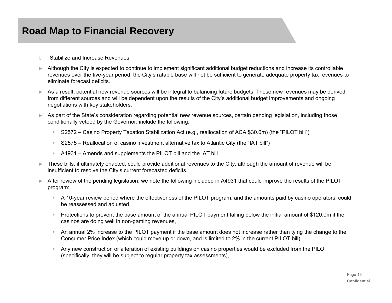#### I.Stabilize and Increase Revenues

- ► Although the City is expected to continue to implement significant additional budget reductions and increase its controllable revenues over the five-year period, the City's ratable base will not be sufficient to generate adequate property tax revenues to eliminate forecast deficits.
- ► As a result, potential new revenue sources will be integral to balancing future budgets. These new revenues may be derived from different sources and will be dependent upon the results of the City's additional budget improvements and ongoing negotiations with key stakeholders.
- ► As part of the State's consideration regarding potential new revenue sources, certain pending legislation, including those conditionally vetoed by the Governor, include the following:
	- $\mathbb{R}^+$ S2572 – Casino Property Taxation Stabilization Act (e.g., reallocation of ACA \$30.0m) (the "PILOT bill")
	- $\mathbb{R}^n$  . S2575 – Reallocation of casino investment alternative tax to Atlantic City (the "IAT bill")
	- $\mathbb{R}^+$ A4931 – Amends and supplements the PILOT bill and the IAT bill
- ► These bills, if ultimately enacted, could provide additional revenues to the City, although the amount of revenue will be insufficient to resolve the City's current forecasted deficits.
- ► After review of the pending legislation, we note the following included in A4931 that could improve the results of the PILOT program:
	- A 10-year review period where the effectiveness of the PILOT program, and the amounts paid by casino operators, could be reassessed and adjusted,
	- Protections to prevent the base amount of the annual PILOT payment falling below the initial amount of \$120.0m if the casinos are doing well in non-gaming revenues,
	- An annual 2% increase to the PILOT payment if the base amount does not increase rather than tying the change to the Consumer Price Index (which could move up or down, and is limited to 2% in the current PILOT bill),
	- $\mathbb{R}^n$  . Any new construction or alteration of existing buildings on casino properties would be excluded from the PILOT (specifically, they will be subject to regular property tax assessments),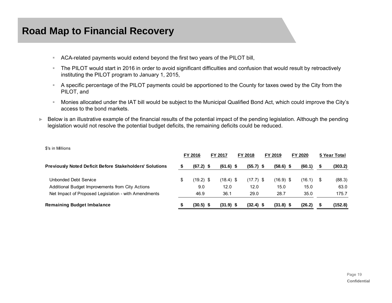\$'s in Millions

- $\mathbb{R}^+$ ACA-related payments would extend beyond the first two years of the PILOT bill,
- $\mathbb{R}^{n-1}$  The PILOT would start in 2016 in order to avoid significant difficulties and confusion that would result by retroactively instituting the PILOT program to January 1, 2015,
- A specific percentage of the PILOT payments could be apportioned to the County for taxes owed by the City from the PILOT, and
- $\mathbb{R}^n$  . Monies allocated under the IAT bill would be subject to the Municipal Qualified Bond Act, which could improve the City's access to the bond markets.
- ► Below is an illustrative example of the financial results of the potential impact of the pending legislation. Although the pending legislation would not resolve the potential budget deficits, the remaining deficits could be reduced.

| <b>U U IIIIIIIII</b> IIIU                                      | FY 2016           | FY 2017     |  | FY 2018     |  | FY 2019     | FY 2020 |             | 5 Year Total |         |
|----------------------------------------------------------------|-------------------|-------------|--|-------------|--|-------------|---------|-------------|--------------|---------|
| <b>Previously Noted Deficit Before Stakeholders' Solutions</b> | $(67.2)$ \$       | $(61.6)$ \$ |  | $(55.7)$ \$ |  | $(58.6)$ \$ |         | (60.1)      | - 5          | (303.2) |
| Unbonded Debt Service                                          | \$<br>$(19.2)$ \$ | $(18.4)$ \$ |  | $(17.7)$ \$ |  | $(16.9)$ \$ |         | $(16.1)$ \$ |              | (88.3)  |
| Additional Budget Improvements from City Actions               | 9.0               | 12.0        |  | 12.0        |  | 15.0        |         | 15.0        |              | 63.0    |
| Net Impact of Proposed Legislation - with Amendments           | 46.9              | 36.1        |  | 29.0        |  | 28.7        |         | 35.0        |              | 175.7   |
| <b>Remaining Budget Imbalance</b>                              | $(30.5)$ \$       | $(31.9)$ \$ |  | $(32.4)$ \$ |  | $(31.8)$ \$ |         | (26.2)      |              | (152.8) |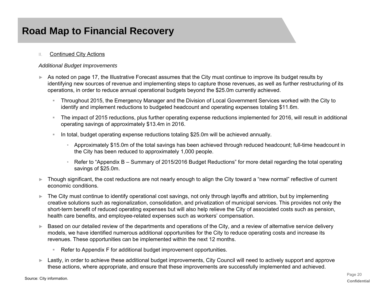#### II.Continued City Actions

### *Additional Budget Improvements*

- ► As noted on page 17, the Illustrative Forecast assumes that the City must continue to improve its budget results by identifying new sources of revenue and implementing steps to capture those revenues, as well as further restructuring of its operations, in order to reduce annual operational budgets beyond the \$25.0m currently achieved.
	- $\mathbb{R}^n$  . Throughout 2015, the Emergency Manager and the Division of Local Government Services worked with the City to identify and implement reductions to budgeted headcount and operating expenses totaling \$11.6m.
	- $\mathbb{R}^n$  . The impact of 2015 reductions, plus further operating expense reductions implemented for 2016, will result in additional operating savings of approximately \$13.4m in 2016.
	- In total, budget operating expense reductions totaling \$25.0m will be achieved annually.
		- Approximately \$15.0m of the total savings has been achieved through reduced headcount; full-time headcount in the City has been reduced to approximately 1,000 people.
		- Refer to "Appendix B Summary of 2015/2016 Budget Reductions" for more detail regarding the total operating savings of \$25.0m.
- ► Though significant, the cost reductions are not nearly enough to align the City toward a "new normal" reflective of current economic conditions.
- ► The City must continue to identify operational cost savings, not only through layoffs and attrition, but by implementing creative solutions such as regionalization, consolidation, and privatization of municipal services. This provides not only the short-term benefit of reduced operating expenses but will also help relieve the City of associated costs such as pension, health care benefits, and employee-related expenses such as workers' compensation.
- ► Based on our detailed review of the departments and operations of the City, and a review of alternative service delivery models, we have identified numerous additional opportunities for the City to reduce operating costs and increase its revenues. These opportunities can be implemented within the next 12 months.
	- $\mathbb{R}^+$ Refer to Appendix F for additional budget improvement opportunities.
- ► Lastly, in order to achieve these additional budget improvements, City Council will need to actively support and approve these actions, where appropriate, and ensure that these improvements are successfully implemented and achieved.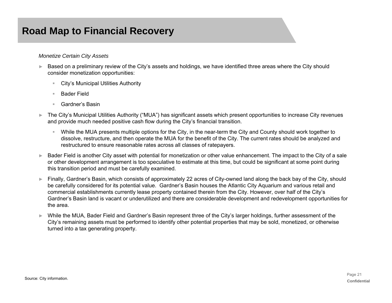#### *Monetize Certain City Assets*

- ► Based on a preliminary review of the City's assets and holdings, we have identified three areas where the City should consider monetization opportunities:
	- $\mathbb{R}^n$ City's Municipal Utilities Authority
	- Bader Field
	- $\mathbb{R}^n$  . Gardner's Basin
- ► The City's Municipal Utilities Authority ("MUA") has significant assets which present opportunities to increase City revenues and provide much needed positive cash flow during the City's financial transition.
	- ₩ While the MUA presents multiple options for the City, in the near-term the City and County should work together to dissolve, restructure, and then operate the MUA for the benefit of the City. The current rates should be analyzed and restructured to ensure reasonable rates across all classes of ratepayers.
- ► Bader Field is another City asset with potential for monetization or other value enhancement. The impact to the City of a sale or other development arrangement is too speculative to estimate at this time, but could be significant at some point during this transition period and must be carefully examined.
- ► Finally, Gardner's Basin, which consists of approximately 22 acres of City-owned land along the back bay of the City, should be carefully considered for its potential value. Gardner's Basin houses the Atlantic City Aquarium and various retail and commercial establishments currently lease property contained therein from the City. However, over half of the City's Gardner's Basin land is vacant or underutilized and there are considerable development and redevelopment opportunities for the area.
- ► While the MUA, Bader Field and Gardner's Basin represent three of the City's larger holdings, further assessment of the City's remaining assets must be performed to identify other potential properties that may be sold, monetized, or otherwise turned into a tax generating property.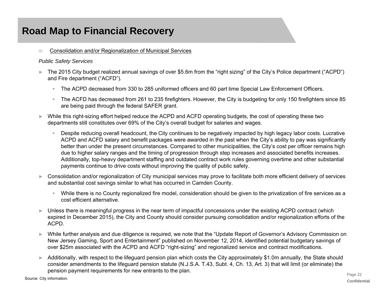III.Consolidation and/or Regionalization of Municipal Services

#### *Public Safety Services*

- ► The 2015 City budget realized annual savings of over \$5.6m from the "right sizing" of the City's Police department ("ACPD") and Fire department ("ACFD").
	- $\mathbf{R}^{(1)}$ The ACPD decreased from 330 to 285 uniformed officers and 60 part time Special Law Enforcement Officers.
	- $\mathbb{R}^n$  . The ACFD has decreased from 261 to 235 firefighters. However, the City is budgeting for only 150 firefighters since 85 are being paid through the federal SAFER grant.
- ► While this right-sizing effort helped reduce the ACPD and ACFD operating budgets, the cost of operating these two departments still constitutes over 69% of the City's overall budget for salaries and wages.
	- Despite reducing overall headcount, the City continues to be negatively impacted by high legacy labor costs. Lucrative ACPD and ACFD salary and benefit packages were awarded in the past when the City's ability to pay was significantly better than under the present circumstances. Compared to other municipalities, the City's cost per officer remains high due to higher salary ranges and the timing of progression through step increases and associated benefits increases. Additionally, top-heavy department staffing and outdated contract work rules governing overtime and other substantial payments continue to drive costs without improving the quality of public safety.
- ► Consolidation and/or regionalization of City municipal services may prove to facilitate both more efficient delivery of services and substantial cost savings similar to what has occurred in Camden County.
	- $\mathcal{H}_{\mathrm{max}}$  While there is no County regionalized fire model, consideration should be given to the privatization of fire services as a cost efficient alternative.
- ► Unless there is meaningful progress in the near term of impactful concessions under the existing ACPD contract (which expired in December 2015), the City and County should consider pursuing consolidation and/or regionalization efforts of the ACPD.
- ► While further analysis and due diligence is required, we note that the "Update Report of Governor's Advisory Commission on New Jersey Gaming, Sport and Entertainment" published on November 12, 2014, identified potential budgetary savings of over \$25m associated with the ACPD and ACFD "right-sizing" and regionalized service and contract modifications.
- ► Additionally, with respect to the lifeguard pension plan which costs the City approximately \$1.0m annually, the State should consider amendments to the lifeguard pension statute (N.J.S.A. T.43, Subt. 4, Ch. 13, Art. 3) that will limit (or eliminate) the pension payment requirements for new entrants to the plan.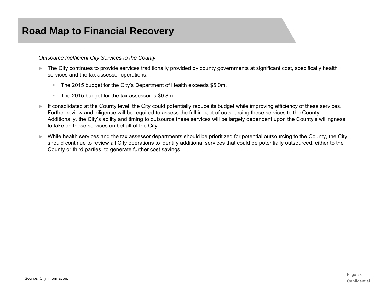*Outsource Inefficient City Services to the County*

- ► The City continues to provide services traditionally provided by county governments at significant cost, specifically health services and the tax assessor operations.
	- $\mathbb{R}^+$ The 2015 budget for the City's Department of Health exceeds \$5.0m.
	- $\mathbb{R}^+$ The 2015 budget for the tax assessor is \$0.8m.
- ► If consolidated at the County level, the City could potentially reduce its budget while improving efficiency of these services. Further review and diligence will be required to assess the full impact of outsourcing these services to the County. Additionally, the City's ability and timing to outsource these services will be largely dependent upon the County's willingness to take on these services on behalf of the City.
- ► While health services and the tax assessor departments should be prioritized for potential outsourcing to the County, the City should continue to review all City operations to identify additional services that could be potentially outsourced, either to the County or third parties, to generate further cost savings.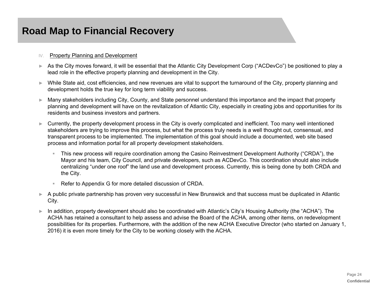#### $\mathsf{I}\mathsf{V}$ Property Planning and Development

- ► As the City moves forward, it will be essential that the Atlantic City Development Corp ("ACDevCo") be positioned to play a lead role in the effective property planning and development in the City.
- ► While State aid, cost efficiencies, and new revenues are vital to support the turnaround of the City, property planning and development holds the true key for long term viability and success.
- ► Many stakeholders including City, County, and State personnel understand this importance and the impact that property planning and development will have on the revitalization of Atlantic City, especially in creating jobs and opportunities for its residents and business investors and partners.
- ► Currently, the property development process in the City is overly complicated and inefficient. Too many well intentioned stakeholders are trying to improve this process, but what the process truly needs is a well thought out, consensual, and transparent process to be implemented. The implementation of this goal should include a documented, web site based process and information portal for all property development stakeholders.
	- This new process will require coordination among the Casino Reinvestment Development Authority ("CRDA"), the Mayor and his team, City Council, and private developers, such as ACDevCo. This coordination should also include centralizing "under one roof" the land use and development process. Currently, this is being done by both CRDA and the City.
	- Refer to Appendix G for more detailed discussion of CRDA.
- ► A public private partnership has proven very successful in New Brunswick and that success must be duplicated in Atlantic City.
- ► In addition, property development should also be coordinated with Atlantic's City's Housing Authority (the "ACHA"). The ACHA has retained a consultant to help assess and advise the Board of the ACHA, among other items, on redevelopment possibilities for its properties. Furthermore, with the addition of the new ACHA Executive Director (who started on January 1, 2016) it is even more timely for the City to be working closely with the ACHA.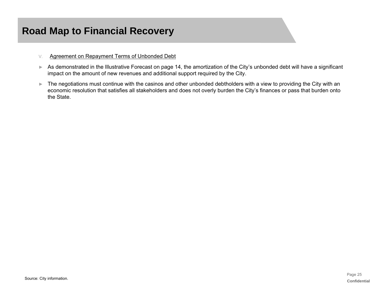- V.Agreement on Repayment Terms of Unbonded Debt
- ► As demonstrated in the Illustrative Forecast on page 14, the amortization of the City's unbonded debt will have a significant impact on the amount of new revenues and additional support required by the City.
- ► The negotiations must continue with the casinos and other unbonded debtholders with a view to providing the City with an economic resolution that satisfies all stakeholders and does not overly burden the City's finances or pass that burden onto the State.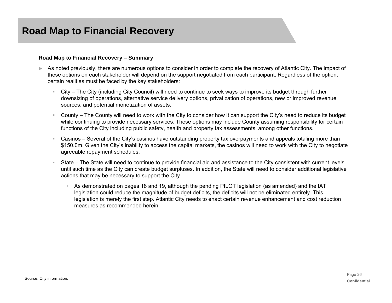### **Road Map to Financial Recovery – Summary**

- ► As noted previously, there are numerous options to consider in order to complete the recovery of Atlantic City. The impact of these options on each stakeholder will depend on the support negotiated from each participant. Regardless of the option, certain realities must be faced by the key stakeholders:
	- City The City (including City Council) will need to continue to seek ways to improve its budget through further downsizing of operations, alternative service delivery options, privatization of operations, new or improved revenue sources, and potential monetization of assets.
	- $\mathbb{R}^n$  County – The County will need to work with the City to consider how it can support the City's need to reduce its budget while continuing to provide necessary services. These options may include County assuming responsibility for certain functions of the City including public safety, health and property tax assessments, among other functions.
	- Casinos Several of the City's casinos have outstanding property tax overpayments and appeals totaling more than \$150.0m. Given the City's inability to access the capital markets, the casinos will need to work with the City to negotiate agreeable repayment schedules.
	- State The State will need to continue to provide financial aid and assistance to the City consistent with current levels until such time as the City can create budget surpluses. In addition, the State will need to consider additional legislative actions that may be necessary to support the City.
		- As demonstrated on pages 18 and 19, although the pending PILOT legislation (as amended) and the IAT legislation could reduce the magnitude of budget deficits, the deficits will not be eliminated entirely. This legislation is merely the first step. Atlantic City needs to enact certain revenue enhancement and cost reduction measures as recommended herein.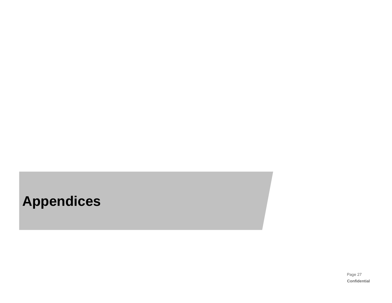# **Appendices**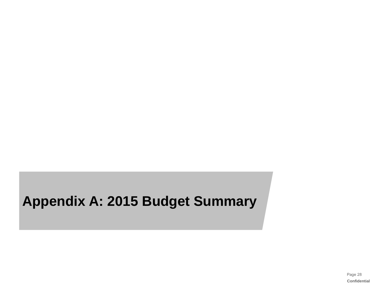# **Appendix A: 2015 Budget Summary**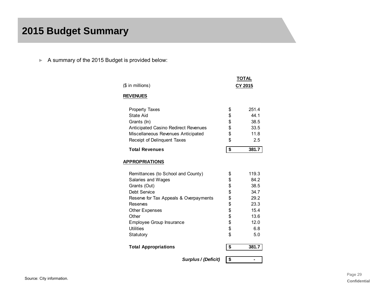## **2015 Budget Summary**

► A summary of the 2015 Budget is provided below:

| (\$ in millions)                            | TOTAL<br>CY 2015 |       |  |  |  |
|---------------------------------------------|------------------|-------|--|--|--|
| <b>REVENUES</b>                             |                  |       |  |  |  |
| <b>Property Taxes</b>                       | \$               | 251.4 |  |  |  |
| State Aid                                   | \$               | 44.1  |  |  |  |
| Grants (In)                                 | \$               | 38.5  |  |  |  |
| <b>Anticipated Casino Redirect Revenues</b> | \$               | 33.5  |  |  |  |
| Miscellaneous Revenues Anticipated          | \$               | 11.8  |  |  |  |
| Receipt of Delinquent Taxes                 | \$               | 2.5   |  |  |  |
| <b>Total Revenues</b>                       | \$               | 381.7 |  |  |  |
| <b>APPROPRIATIONS</b>                       |                  |       |  |  |  |
| Remittances (to School and County)          | \$               | 119.3 |  |  |  |
| Salaries and Wages                          | \$               | 84.2  |  |  |  |
| Grants (Out)                                | \$               | 38.5  |  |  |  |
| Debt Service                                | \$               | 34.7  |  |  |  |
| Reserve for Tax Appeals & Overpayments      | \$               | 29.2  |  |  |  |
| Reserves                                    | \$               | 23.3  |  |  |  |
| <b>Other Expenses</b>                       | \$               | 15.4  |  |  |  |
| Other                                       | \$               | 13.6  |  |  |  |
| Employee Group Insurance                    | \$               | 12.0  |  |  |  |
| <b>Utilities</b>                            | \$               | 6.8   |  |  |  |
| Statutory                                   | \$               | 5.0   |  |  |  |
| <b>Total Appropriations</b>                 | \$               | 381.7 |  |  |  |
|                                             |                  |       |  |  |  |

*Surplus / (Deficit)* **\$ -**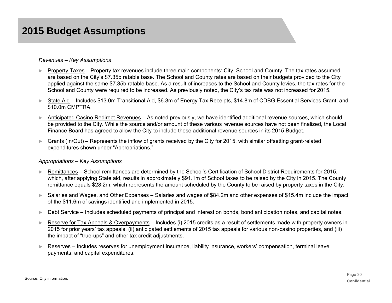#### *Revenues – Key Assumptions*

- ► Property Taxes Property tax revenues include three main components: City, School and County. The tax rates assumed are based on the City's \$7.35b ratable base. The School and County rates are based on their budgets provided to the City applied against the same \$7.35b ratable base. As a result of increases to the School and County levies, the tax rates for the School and County were required to be increased. As previously noted, the City's tax rate was not increased for 2015.
- ► State Aid Includes \$13.0m Transitional Aid, \$6.3m of Energy Tax Receipts, \$14.8m of CDBG Essential Services Grant, and \$10.0m CMPTRA.
- ► Anticipated Casino Redirect Revenues – As noted previously, we have identified additional revenue sources, which should be provided to the City. While the source and/or amount of these various revenue sources have not been finalized, the Local Finance Board has agreed to allow the City to include these additional revenue sources in its 2015 Budget.
- ► Grants (In/Out) – Represents the inflow of grants received by the City for 2015, with similar offsetting grant-related expenditures shown under "Appropriations."

#### *Appropriations – Key Assumptions*

- ► Remittances – School remittances are determined by the School's Certification of School District Requirements for 2015, which, after applying State aid, results in approximately \$91.1m of School taxes to be raised by the City in 2015. The County remittance equals \$28.2m, which represents the amount scheduled by the County to be raised by property taxes in the City.
- ►Salaries and Wages, and Other Expenses – Salaries and wages of \$84.2m and other expenses of \$15.4m include the impact of the \$11.6m of savings identified and implemented in 2015.
- ►Debt Service – Includes scheduled payments of principal and interest on bonds, bond anticipation notes, and capital notes.
- ► Reserve for Tax Appeals & Overpayments – Includes (i) 2015 credits as a result of settlements made with property owners in 2015 for prior years' tax appeals, (ii) anticipated settlements of 2015 tax appeals for various non-casino properties, and (iii) the impact of "true-ups" and other tax credit adjustments.
- ► Reserves – Includes reserves for unemployment insurance, liability insurance, workers' compensation, terminal leave payments, and capital expenditures.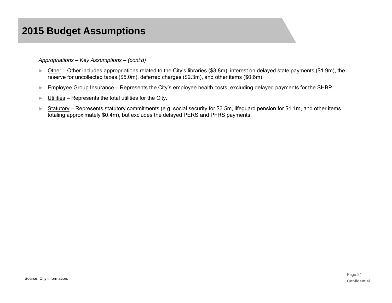## **2015 Budget Assumptions**

#### *Appropriations – Key Assumptions – (cont'd)*

- ► Other Other includes appropriations related to the City's libraries (\$3.8m), interest on delayed state payments (\$1.9m), the reserve for uncollected taxes (\$5.0m), deferred charges (\$2.3m), and other items (\$0.6m).
- ►Employee Group Insurance – Represents the City's employee health costs, excluding delayed payments for the SHBP.
- ►Utilities – Represents the total utilities for the City.
- ► Statutory – Represents statutory commitments (e.g. social security for \$3.5m, lifeguard pension for \$1.1m, and other items totaling approximately \$0.4m), but excludes the delayed PERS and PFRS payments.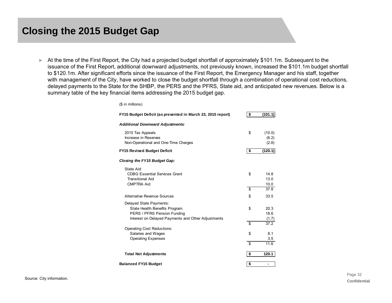► At the time of the First Report, the City had a projected budget shortfall of approximately \$101.1m. Subsequent to the issuance of the First Report, additional downward adjustments, not previously known, increased the \$101.1m budget shortfall to \$120.1m. After significant efforts since the issuance of the First Report, the Emergency Manager and his staff, together with management of the City, have worked to close the budget shortfall through a combination of operational cost reductions, delayed payments to the State for the SHBP, the PERS and the PFRS, State aid, and anticipated new revenues. Below is a summary table of the key financial items addressing the 2015 budget gap.

| (\$ in millions)                                                                                                                              |                                |
|-----------------------------------------------------------------------------------------------------------------------------------------------|--------------------------------|
| FY15 Budget Deficit (as presented in March 23, 2015 report)                                                                                   | \$<br>(101.1)                  |
| <b>Additional Downward Adjustments:</b>                                                                                                       |                                |
| 2015 Tax Appeals<br>Increase in Reserves<br>Non-Operational and One-Time Charges                                                              | \$<br>(10.0)<br>(6.2)<br>(2.8) |
| <b>FY15 Revised Budget Deficit</b>                                                                                                            | \$<br>(120.1)                  |
| <b>Closing the FY15 Budget Gap:</b>                                                                                                           |                                |
| State Aid:<br><b>CDBG Essential Services Grant</b><br><b>Transitional Aid</b><br><b>CMPTRA Aid</b>                                            | \$<br>14.8<br>13.0<br>10.0     |
|                                                                                                                                               | \$<br>37.8                     |
| Alternative Revenue Sources                                                                                                                   | \$<br>33.5                     |
| Delayed State Payments:<br>State Health Benefits Program<br>PERS / PFRS Pension Funding<br>Interest on Delayed Payments and Other Adjustments | \$<br>20.3<br>18.6<br>(1.7)    |
|                                                                                                                                               | \$<br>37.2                     |
| Operating Cost Reductions:<br>Salaries and Wages<br><b>Operating Expenses</b>                                                                 | \$<br>8.1<br>3.5               |
|                                                                                                                                               | \$<br>11.6                     |
| <b>Total Net Adjustments</b>                                                                                                                  | \$<br>120.1                    |
| <b>Balanced FY15 Budget</b>                                                                                                                   | \$<br>-                        |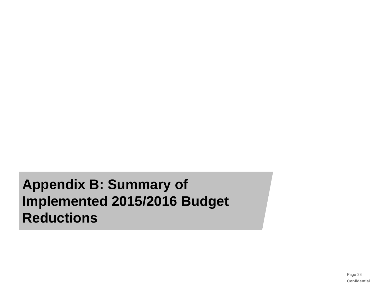**Appendix B: Summary of Implemented 2015/2016 Budget Reductions**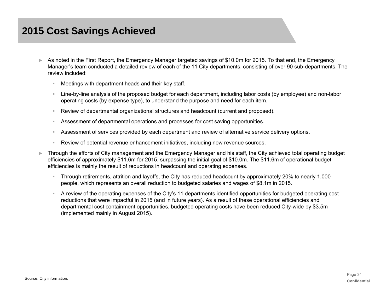## **2015 Cost Savings Achieved**

- ► As noted in the First Report, the Emergency Manager targeted savings of \$10.0m for 2015. To that end, the Emergency Manager's team conducted a detailed review of each of the 11 City departments, consisting of over 90 sub-departments. The review included:
	- $\mathbb{R}^+$ Meetings with department heads and their key staff.
	- Line-by-line analysis of the proposed budget for each department, including labor costs (by employee) and non-labor operating costs (by expense type), to understand the purpose and need for each item.
	- ₩ Review of departmental organizational structures and headcount (current and proposed).
	- $\mathbb{R}^n$ Assessment of departmental operations and processes for cost saving opportunities.
	- $\mathbb{R}^+$ Assessment of services provided by each department and review of alternative service delivery options.
	- Review of potential revenue enhancement initiatives, including new revenue sources.
- ► Through the efforts of City management and the Emergency Manager and his staff, the City achieved total operating budget efficiencies of approximately \$11.6m for 2015, surpassing the initial goal of \$10.0m. The \$11.6m of operational budget efficiencies is mainly the result of reductions in headcount and operating expenses.
	- Through retirements, attrition and layoffs, the City has reduced headcount by approximately 20% to nearly 1,000 people, which represents an overall reduction to budgeted salaries and wages of \$8.1m in 2015.
	- A review of the operating expenses of the City's 11 departments identified opportunities for budgeted operating cost reductions that were impactful in 2015 (and in future years). As a result of these operational efficiencies and departmental cost containment opportunities, budgeted operating costs have been reduced City-wide by \$3.5m (implemented mainly in August 2015).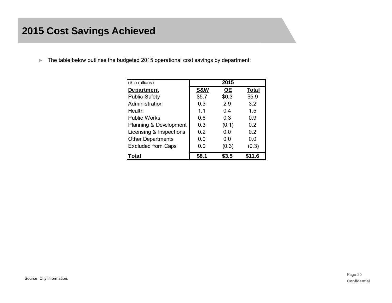## **2015 Cost Savings Achieved**

►The table below outlines the budgeted 2015 operational cost savings by department:

| $($$ in millions)         |                | 2015      |              |
|---------------------------|----------------|-----------|--------------|
| <b>Department</b>         | <b>S&amp;W</b> | <b>OE</b> | <b>Total</b> |
| <b>Public Safety</b>      | \$5.7          | \$0.3     | \$5.9        |
| Administration            | 0.3            | 2.9       | 3.2          |
| Health                    | 11             | 0.4       | 1.5          |
| <b>Public Works</b>       | 0.6            | 0.3       | 0.9          |
| Planning & Development    | 0.3            | (0.1)     | 0.2          |
| Licensing & Inspections   | 0.2            | 0.0       | 0.2          |
| <b>Other Departments</b>  | 0.0            | 0.0       | 0.0          |
| <b>Excluded from Caps</b> | 0.0            | (0.3)     | (0.3)        |
| Total                     | S8.1           | S3.5      | \$11.6       |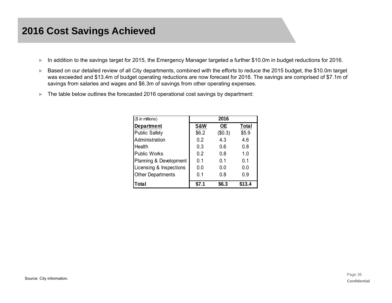- ►In addition to the savings target for 2015, the Emergency Manager targeted a further \$10.0m in budget reductions for 2016.
- ► Based on our detailed review of all City departments, combined with the efforts to reduce the 2015 budget, the \$10.0m target was exceeded and \$13.4m of budget operating reductions are now forecast for 2016. The savings are comprised of \$7.1m of savings from salaries and wages and \$6.3m of savings from other operating expenses.
- $\blacktriangleright$  The table below outlines the forecasted 2016 operational cost savings by department:

| $($$ in millions)        |                | 2016         |              |
|--------------------------|----------------|--------------|--------------|
| <b>Department</b>        | <b>S&amp;W</b> | <b>OE</b>    | <b>Total</b> |
| <b>Public Safety</b>     | \$6.2          | (\$0.3)      | \$5.9        |
| Administration           | 0.2            | 4.3          | 4.6          |
| Health                   | 0.3            | 0.6          | 0.8          |
| <b>Public Works</b>      | 0.2            | 0.8          | 1.0          |
| Planning & Development   | 0.1            | 0.1          | 0.1          |
| Licensing & Inspections  | 0.0            | 0.0          | 0.0          |
| <b>Other Departments</b> | 0.1            | 0.8          | 0.9          |
| Total                    | \$7.1          | <b>\$6.3</b> | \$13.4       |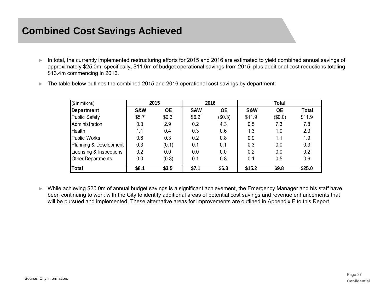## **Combined Cost Savings Achieved**

► In total, the currently implemented restructuring efforts for 2015 and 2016 are estimated to yield combined annual savings of approximately \$25.0m; specifically, \$11.6m of budget operational savings from 2015, plus additional cost reductions totaling \$13.4m commencing in 2016.

| (\$ in millions)         |       | 2015                      |         | 2016    | <b>Total</b>   |           |        |  |  |  |
|--------------------------|-------|---------------------------|---------|---------|----------------|-----------|--------|--|--|--|
| Department               | S&W   | $\underline{\mathsf{OE}}$ | S&W     | $OE$    | <b>S&amp;W</b> | <b>OE</b> | Total  |  |  |  |
| <b>Public Safety</b>     | \$5.7 | \$0.3                     | \$6.2\$ | (\$0.3) | \$11.9         | (\$0.0)   | \$11.9 |  |  |  |
| Administration           | 0.3   | 2.9                       | 0.2     | 4.3     | 0.5            | 7.3       | 7.8    |  |  |  |
| <b>Health</b>            | 1.1   | 0.4                       | 0.3     | 0.6     | 1.3            | 1.0       | 2.3    |  |  |  |
| <b>Public Works</b>      | 0.6   | 0.3                       | 0.2     | 0.8     | 0.9            | 1.1       | 1.9    |  |  |  |
| Planning & Development   | 0.3   | (0.1)                     | 0.1     | 0.1     | 0.3            | 0.0       | 0.3    |  |  |  |
| Licensing & Inspections  | 0.2   | 0.0                       | 0.0     | 0.0     | 0.2            | 0.0       | 0.2    |  |  |  |
| <b>Other Departments</b> | 0.0   | (0.3)                     | 0.1     | 0.8     | 0.1            | 0.5       | 0.6    |  |  |  |
| Total                    | \$8.1 | \$3.5                     | \$7.1   | \$6.3   | \$15.2         | \$9.8     | \$25.0 |  |  |  |

►The table below outlines the combined 2015 and 2016 operational cost savings by department:

► While achieving \$25.0m of annual budget savings is a significant achievement, the Emergency Manager and his staff have been continuing to work with the City to identify additional areas of potential cost savings and revenue enhancements that will be pursued and implemented. These alternative areas for improvements are outlined in Appendix F to this Report.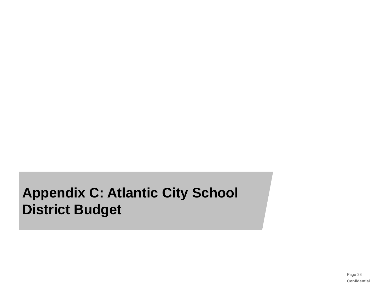# **Appendix C: Atlantic City School District Budget**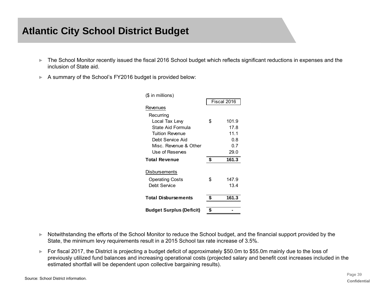## **Atlantic City School District Budget**

- ► The School Monitor recently issued the fiscal 2016 School budget which reflects significant reductions in expenses and the inclusion of State aid.
- ► A summary of the School's FY2016 budget is provided below:

| (\$ in millions)                |    |             |
|---------------------------------|----|-------------|
|                                 |    | Fiscal 2016 |
| Revenues                        |    |             |
| Recurring                       |    |             |
| Local Tax Levy                  | \$ | 101.9       |
| State Aid Formula               |    | 17.8        |
| <b>Tuition Revenue</b>          |    | 11.1        |
| Debt Service Aid                |    | 0.8         |
| Misc. Revenue & Other           |    | 0.7         |
| Use of Reserves                 |    | 29.0        |
| <b>Total Revenue</b>            | \$ | 161.3       |
| Disbursements                   |    |             |
| <b>Operating Costs</b>          | \$ | 147.9       |
| Debt Service                    |    | 13.4        |
| <b>Total Disbursements</b>      | \$ | 161.3       |
| <b>Budget Surplus (Deficit)</b> | S  |             |

- ► Notwithstanding the efforts of the School Monitor to reduce the School budget, and the financial support provided by the State, the minimum levy requirements result in a 2015 School tax rate increase of 3.5%.
- ► For fiscal 2017, the District is projecting a budget deficit of approximately \$50.0m to \$55.0m mainly due to the loss of previously utilized fund balances and increasing operational costs (projected salary and benefit cost increases included in the estimated shortfall will be dependent upon collective bargaining results).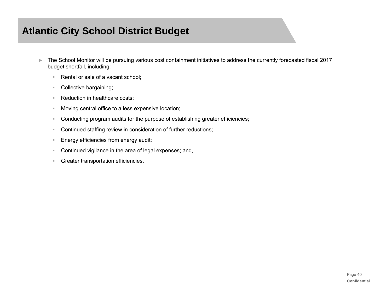## **Atlantic City School District Budget**

- ► The School Monitor will be pursuing various cost containment initiatives to address the currently forecasted fiscal 2017 budget shortfall, including:
	- $\pm$ Rental or sale of a vacant school;
	- $\mathbb{R}^n$ Collective bargaining;
	- $\mathbb{R}^+$ Reduction in healthcare costs;
	- $\mathbb{R}^n$ Moving central office to a less expensive location;
	- $\pm$ Conducting program audits for the purpose of establishing greater efficiencies;
	- $\pm$ Continued staffing review in consideration of further reductions;
	- $\mathbb{R}^+$ Energy efficiencies from energy audit;
	- $\mathbb{R}^+$ Continued vigilance in the area of legal expenses; and,
	- $\pm$ Greater transportation efficiencies.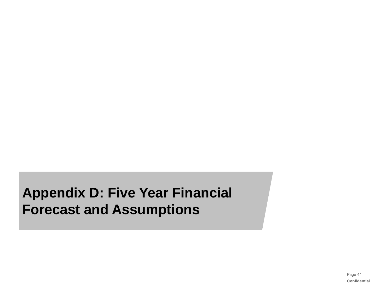**Appendix D: Five Year Financial Forecast and Assumptions**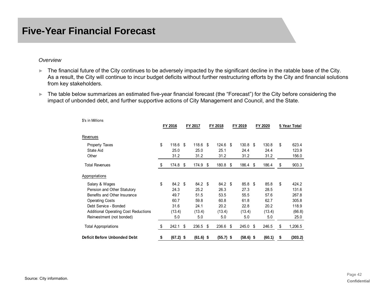## **Five-Year Financial Forecast**

#### *Overview*

- ► The financial future of the City continues to be adversely impacted by the significant decline in the ratable base of the City. As a result, the City will continue to incur budget deficits without further restructuring efforts by the City and financial solutions from key stakeholders.
- ► The table below summarizes an estimated five-year financial forecast (the "Forecast") for the City before considering the impact of unbonded debt, and further supportive actions of City Management and Council, and the State.

| \$'s in Millions                            |                   |             |    |             |     |             |      |         |               |
|---------------------------------------------|-------------------|-------------|----|-------------|-----|-------------|------|---------|---------------|
|                                             | FY 2016           | FY 2017     |    | FY 2018     |     | FY 2019     |      | FY 2020 | 5 Year Total  |
| Revenues                                    |                   |             |    |             |     |             |      |         |               |
| <b>Property Taxes</b>                       | \$<br>118.6       | \$<br>118.6 | -S | $124.6$ \$  |     | 130.8       | - \$ | 130.8   | \$<br>623.4   |
| State Aid                                   | 25.0              | 25.0        |    | 25.1        |     | 24.4        |      | 24.4    | 123.9         |
| Other                                       | 31.2              | 31.2        |    | 31.2        |     | 31.2        |      | 31.2    | 156.0         |
| <b>Total Revenues</b>                       | \$<br>174.8       | \$<br>174.9 | \$ | 180.8       | -\$ | 186.4       | \$   | 186.4   | \$<br>903.3   |
| Appropriations                              |                   |             |    |             |     |             |      |         |               |
| Salary & Wages                              | \$<br>84.2 \$     | 84.2 \$     |    | 84.2 \$     |     | 85.8        | - \$ | 85.8    | \$<br>424.2   |
| Pension and Other Statutory                 | 24.3              | 25.2        |    | 26.3        |     | 27.3        |      | 28.5    | 131.6         |
| Benefits and Other Insurance                | 49.7              | 51.5        |    | 53.5        |     | 55.5        |      | 57.6    | 267.8         |
| <b>Operating Costs</b>                      | 60.7              | 59.8        |    | 60.8        |     | 61.8        |      | 62.7    | 305.8         |
| Debt Service - Bonded                       | 31.6              | 24.1        |    | 20.2        |     | 22.8        |      | 20.2    | 118.9         |
| <b>Additional Operating Cost Reductions</b> | (13.4)            | (13.4)      |    | (13.4)      |     | (13.4)      |      | (13.4)  | (66.8)        |
| Reinvestment (not bonded)                   | 5.0               | 5.0         |    | 5.0         |     | 5.0         |      | 5.0     | 25.0          |
| <b>Total Appropriations</b>                 | \$<br>242.1       | \$<br>236.5 | \$ | 236.6       | \$  | 245.0       | \$   | 246.5   | \$<br>1,206.5 |
| <b>Deficit Before Unbonded Debt</b>         | \$<br>$(67.2)$ \$ | $(61.6)$ \$ |    | $(55.7)$ \$ |     | $(58.6)$ \$ |      | (60.1)  | \$<br>(303.2) |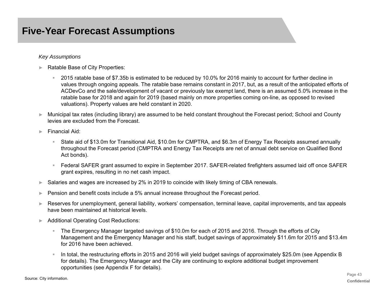## **Five-Year Forecast Assumptions**

#### *Key Assumptions*

- ► Ratable Base of City Properties:
	- 2015 ratable base of \$7.35b is estimated to be reduced by 10.0% for 2016 mainly to account for further decline in values through ongoing appeals. The ratable base remains constant in 2017, but, as a result of the anticipated efforts of ACDevCo and the sale/development of vacant or previously tax exempt land, there is an assumed 5.0% increase in the ratable base for 2018 and again for 2019 (based mainly on more properties coming on-line, as opposed to revised valuations). Property values are held constant in 2020.
- ► Municipal tax rates (including library) are assumed to be held constant throughout the Forecast period; School and County levies are excluded from the Forecast.
- ► Financial Aid:
	- ₩ State aid of \$13.0m for Transitional Aid, \$10.0m for CMPTRA, and \$6.3m of Energy Tax Receipts assumed annually throughout the Forecast period (CMPTRA and Energy Tax Receipts are net of annual debt service on Qualified Bond Act bonds).
	- $\mathbb{R}^{n\times n}$  Federal SAFER grant assumed to expire in September 2017. SAFER-related firefighters assumed laid off once SAFER grant expires, resulting in no net cash impact.
- ►Salaries and wages are increased by 2% in 2019 to coincide with likely timing of CBA renewals.
- ►Pension and benefit costs include a 5% annual increase throughout the Forecast period.
- ► Reserves for unemployment, general liability, workers' compensation, terminal leave, capital improvements, and tax appeals have been maintained at historical levels.
- ► Additional Operating Cost Reductions:
	- ₩ The Emergency Manager targeted savings of \$10.0m for each of 2015 and 2016. Through the efforts of City Management and the Emergency Manager and his staff, budget savings of approximately \$11.6m for 2015 and \$13.4m for 2016 have been achieved.
	- $\mathbb{R}^n$  In total, the restructuring efforts in 2015 and 2016 will yield budget savings of approximately \$25.0m (see Appendix B for details). The Emergency Manager and the City are continuing to explore additional budget improvement opportunities (see Appendix F for details).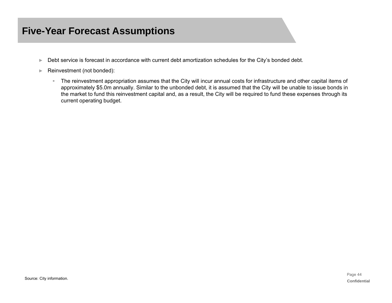## **Five-Year Forecast Assumptions**

- ►Debt service is forecast in accordance with current debt amortization schedules for the City's bonded debt.
- ► Reinvestment (not bonded):
	- The reinvestment appropriation assumes that the City will incur annual costs for infrastructure and other capital items of approximately \$5.0m annually. Similar to the unbonded debt, it is assumed that the City will be unable to issue bonds in the market to fund this reinvestment capital and, as a result, the City will be required to fund these expenses through its current operating budget.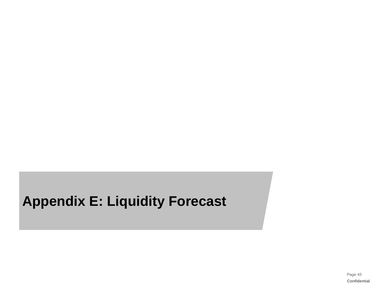# **Appendix E: Liquidity Forecast**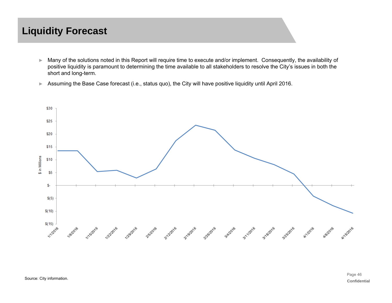## **Liquidity Forecast**

- ► Many of the solutions noted in this Report will require time to execute and/or implement. Consequently, the availability of positive liquidity is paramount to determining the time available to all stakeholders to resolve the City's issues in both the short and long-term.
- ►Assuming the Base Case forecast (i.e., status quo), the City will have positive liquidity until April 2016.

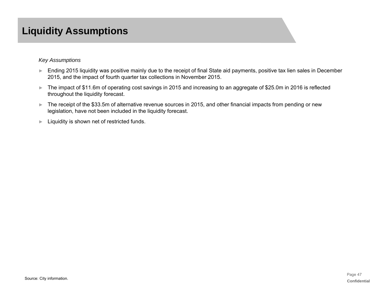## **Liquidity Assumptions**

#### *Key Assumptions*

- ► Ending 2015 liquidity was positive mainly due to the receipt of final State aid payments, positive tax lien sales in December 2015, and the impact of fourth quarter tax collections in November 2015.
- ► The impact of \$11.6m of operating cost savings in 2015 and increasing to an aggregate of \$25.0m in 2016 is reflected throughout the liquidity forecast.
- ► The receipt of the \$33.5m of alternative revenue sources in 2015, and other financial impacts from pending or new legislation, have not been included in the liquidity forecast.
- ►Liquidity is shown net of restricted funds.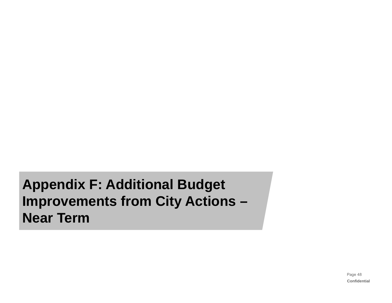**Appendix F: Additional Budget Improvements from City Actions – Near Term**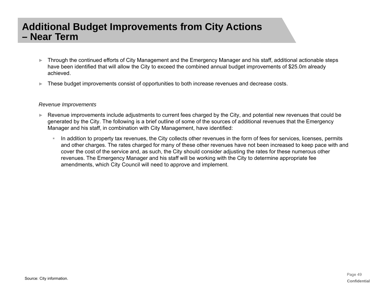- ► Through the continued efforts of City Management and the Emergency Manager and his staff, additional actionable steps have been identified that will allow the City to exceed the combined annual budget improvements of \$25.0m already achieved.
- ►These budget improvements consist of opportunities to both increase revenues and decrease costs.

#### *Revenue Improvements*

- ► Revenue improvements include adjustments to current fees charged by the City, and potential new revenues that could be generated by the City. The following is a brief outline of some of the sources of additional revenues that the Emergency Manager and his staff, in combination with City Management, have identified:
	- In addition to property tax revenues, the City collects other revenues in the form of fees for services, licenses, permits and other charges. The rates charged for many of these other revenues have not been increased to keep pace with and cover the cost of the service and, as such, the City should consider adjusting the rates for these numerous other revenues. The Emergency Manager and his staff will be working with the City to determine appropriate fee amendments, which City Council will need to approve and implement.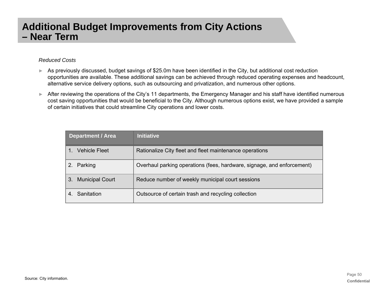### *Reduced Costs*

- ► As previously discussed, budget savings of \$25.0m have been identified in the City, but additional cost reduction opportunities are available. These additional savings can be achieved through reduced operating expenses and headcount, alternative service delivery options, such as outsourcing and privatization, and numerous other options.
- ► After reviewing the operations of the City's 11 departments, the Emergency Manager and his staff have identified numerous cost saving opportunities that would be beneficial to the City. Although numerous options exist, we have provided a sample of certain initiatives that could streamline City operations and lower costs.

| <b>Department / Area</b>     | <b>Initiative</b>                                                      |
|------------------------------|------------------------------------------------------------------------|
| Vehicle Fleet                | Rationalize City fleet and fleet maintenance operations                |
| Parking                      | Overhaul parking operations (fees, hardware, signage, and enforcement) |
| <b>Municipal Court</b><br>3. | Reduce number of weekly municipal court sessions                       |
| Sanitation                   | Outsource of certain trash and recycling collection                    |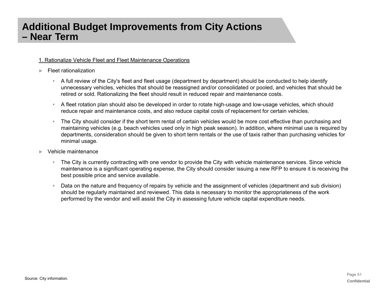#### 1. Rationalize Vehicle Fleet and Fleet Maintenance Operations

#### ►Fleet rationalization

- A full review of the City's fleet and fleet usage (department by department) should be conducted to help identify unnecessary vehicles, vehicles that should be reassigned and/or consolidated or pooled, and vehicles that should be retired or sold. Rationalizing the fleet should result in reduced repair and maintenance costs.
- $\mathbb{R}^n$  . A fleet rotation plan should also be developed in order to rotate high-usage and low-usage vehicles, which should reduce repair and maintenance costs, and also reduce capital costs of replacement for certain vehicles.
- $\pm$  The City should consider if the short term rental of certain vehicles would be more cost effective than purchasing and maintaining vehicles (e.g. beach vehicles used only in high peak season). In addition, where minimal use is required by departments, consideration should be given to short term rentals or the use of taxis rather than purchasing vehicles for minimal usage.
- ► Vehicle maintenance
	- $\mathbb{R}^{n-1}$  The City is currently contracting with one vendor to provide the City with vehicle maintenance services. Since vehicle maintenance is a significant operating expense, the City should consider issuing a new RFP to ensure it is receiving the best possible price and service available.
	- Data on the nature and frequency of repairs by vehicle and the assignment of vehicles (department and sub division) should be regularly maintained and reviewed. This data is necessary to monitor the appropriateness of the work performed by the vendor and will assist the City in assessing future vehicle capital expenditure needs.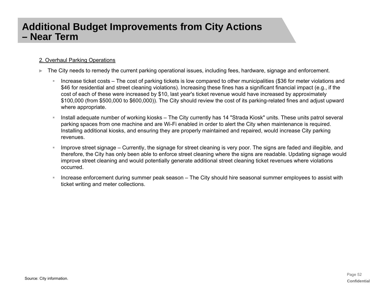### 2. Overhaul Parking Operations

- ► The City needs to remedy the current parking operational issues, including fees, hardware, signage and enforcement.
	- $\mathbb{R}^{n-1}$  Increase ticket costs – The cost of parking tickets is low compared to other municipalities (\$36 for meter violations and \$46 for residential and street cleaning violations). Increasing these fines has a significant financial impact (e.g., if the cost of each of these were increased by \$10, last year's ticket revenue would have increased by approximately \$100,000 (from \$500,000 to \$600,000)). The City should review the cost of its parking-related fines and adjust upward where appropriate.
	- Install adequate number of working kiosks The City currently has 14 "Strada Kiosk" units. These units patrol several parking spaces from one machine and are Wi-Fi enabled in order to alert the City when maintenance is required. Installing additional kiosks, and ensuring they are properly maintained and repaired, would increase City parking revenues.
	- Improve street signage Currently, the signage for street cleaning is very poor. The signs are faded and illegible, and therefore, the City has only been able to enforce street cleaning where the signs are readable. Updating signage would improve street cleaning and would potentially generate additional street cleaning ticket revenues where violations occurred.
	- Increase enforcement during summer peak season The City should hire seasonal summer employees to assist with ticket writing and meter collections.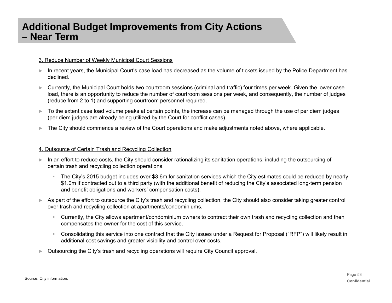#### 3. Reduce Number of Weekly Municipal Court Sessions

- ► In recent years, the Municipal Court's case load has decreased as the volume of tickets issued by the Police Department has declined.
- ► Currently, the Municipal Court holds two courtroom sessions (criminal and traffic) four times per week. Given the lower case load, there is an opportunity to reduce the number of courtroom sessions per week, and consequently, the number of judges (reduce from 2 to 1) and supporting courtroom personnel required.
- ► To the extent case load volume peaks at certain points, the increase can be managed through the use of per diem judges (per diem judges are already being utilized by the Court for conflict cases).
- ►The City should commence a review of the Court operations and make adjustments noted above, where applicable.

#### 4. Outsource of Certain Trash and Recycling Collection

- ► In an effort to reduce costs, the City should consider rationalizing its sanitation operations, including the outsourcing of certain trash and recycling collection operations.
	- The City's 2015 budget includes over \$3.6m for sanitation services which the City estimates could be reduced by nearly \$1.0m if contracted out to a third party (with the additional benefit of reducing the City's associated long-term pension and benefit obligations and workers' compensation costs).
- ► As part of the effort to outsource the City's trash and recycling collection, the City should also consider taking greater control over trash and recycling collection at apartments/condominiums.
	- $\mathbb{R}^n$  . Currently, the City allows apartment/condominium owners to contract their own trash and recycling collection and then compensates the owner for the cost of this service.
	- $\mathbf{m}$  . Consolidating this service into one contract that the City issues under a Request for Proposal ("RFP") will likely result in additional cost savings and greater visibility and control over costs.
- ►Outsourcing the City's trash and recycling operations will require City Council approval.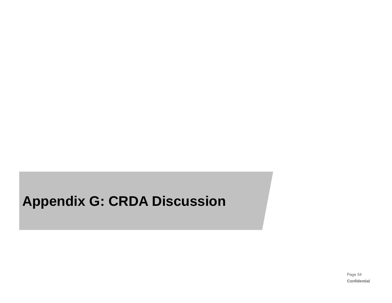## **Appendix G: CRDA Discussion**